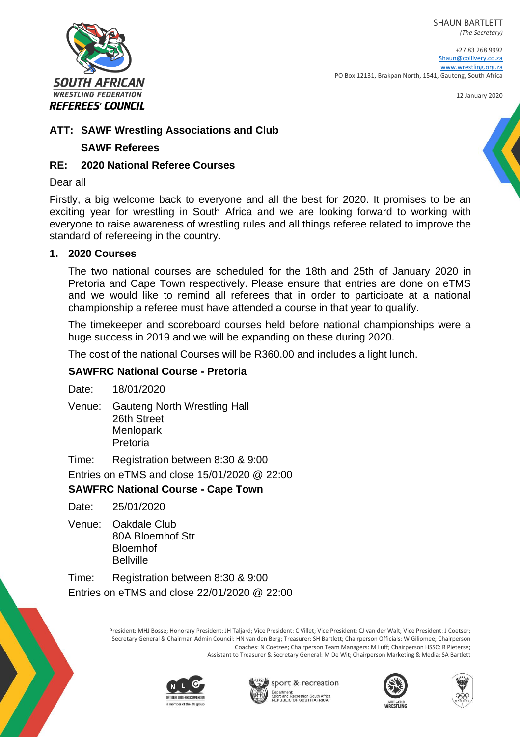SHAUN BARTLETT



+27 83 268 9992 [Shaun@collivery.co.za](mailto:Shaun@collivery.co.za) [www.wrestling.org.za](http://www.wrestling.org.za/) PO Box 12131, Brakpan North, 1541, Gauteng, South Africa

12 January 2020



## **SAWF Referees**

REFEREES' COUNCIL

**SOUTH AFRICAN WRESTLING FEDERATION** 

## **RE: 2020 National Referee Courses**

#### Dear all

Firstly, a big welcome back to everyone and all the best for 2020. It promises to be an exciting year for wrestling in South Africa and we are looking forward to working with everyone to raise awareness of wrestling rules and all things referee related to improve the standard of refereeing in the country.

#### **1. 2020 Courses**

The two national courses are scheduled for the 18th and 25th of January 2020 in Pretoria and Cape Town respectively. Please ensure that entries are done on eTMS and we would like to remind all referees that in order to participate at a national championship a referee must have attended a course in that year to qualify.

The timekeeper and scoreboard courses held before national championships were a huge success in 2019 and we will be expanding on these during 2020.

The cost of the national Courses will be R360.00 and includes a light lunch.

# **SAWFRC National Course - Pretoria**

Date: 18/01/2020

Venue: Gauteng North Wrestling Hall 26th Street Menlopark Pretoria

Time: Registration between 8:30 & 9:00

Entries on eTMS and close 15/01/2020 @ 22:00

# **SAWFRC National Course - Cape Town**

Date: 25/01/2020

Venue: Oakdale Club 80A Bloemhof Str Bloemhof **Bellville** 

Time: Registration between 8:30 & 9:00 Entries on eTMS and close 22/01/2020 @ 22:00

> President: MHJ Bosse; Honorary President: JH Taljard; Vice President: C Villet; Vice President: CJ van der Walt; Vice President: J Coetser; Secretary General & Chairman Admin Council: HN van den Berg; Treasurer: SH Bartlett; Chairperson Officials: W Giliomee; Chairperson Coaches: N Coetzee; Chairperson Team Managers: M Luff; Chairperson HSSC: R Pieterse; Assistant to Treasurer & Secretary General: M De Wit; Chairperson Marketing & Media: SA Bartlett